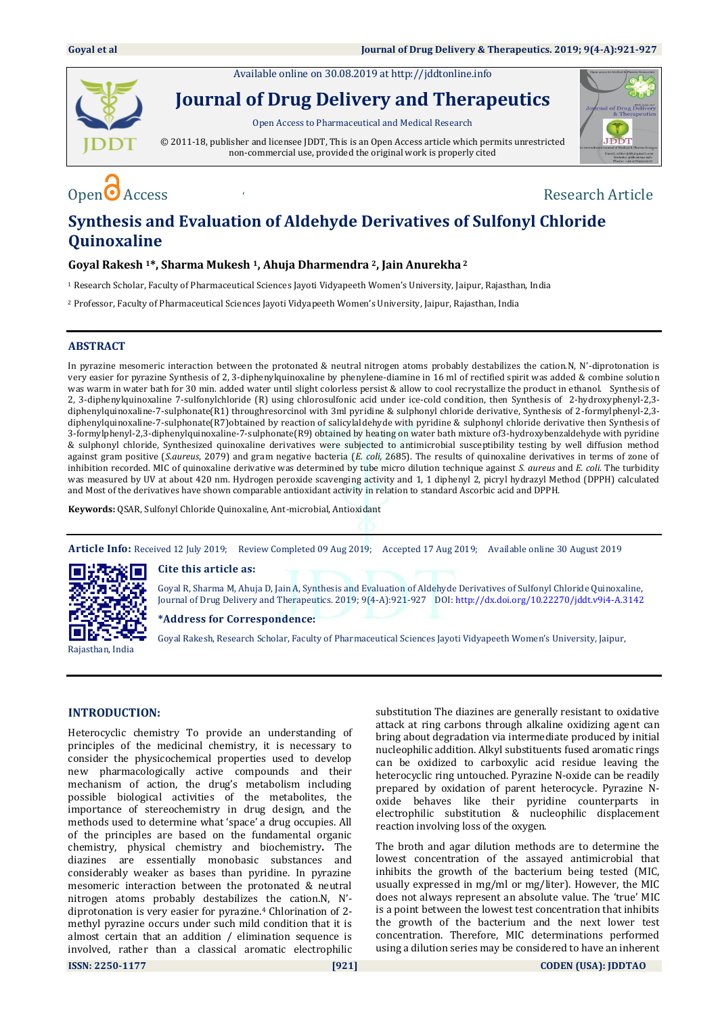Available online on 30.08.2019 a[t http://jddtonline.info](http://jddtonline.info/)



**Journal of Drug Delivery and Therapeutics**

Open Access to Pharmaceutical and Medical Research

© 2011-18, publisher and licensee JDDT, This is an Open Access article which permits unrestricted non-commercial use, provided the original work is properly cited



# Open  $\bigcirc$  Access  $\bigcirc$

## **Synthesis and Evaluation of Aldehyde Derivatives of Sulfonyl Chloride Quinoxaline**

#### **Goyal Rakesh 1\*, Sharma Mukesh 1, Ahuja Dharmendra 2, Jain Anurekha <sup>2</sup>**

<sup>1</sup> Research Scholar, Faculty of Pharmaceutical Sciences Jayoti Vidyapeeth Women's University, Jaipur, Rajasthan, India

<sup>2</sup> Professor, Faculty of Pharmaceutical Sciences Jayoti Vidyapeeth Women's University, Jaipur, Rajasthan, India

#### **ABSTRACT**

In pyrazine mesomeric interaction between the protonated & neutral nitrogen atoms probably destabilizes the cation.N, N'-diprotonation is very easier for pyrazine Synthesis of 2, 3-diphenylquinoxaline by phenylene-diamine in 16 ml of rectified spirit was added & combine solution was warm in water bath for 30 min. added water until slight colorless persist & allow to cool recrystallize the product in ethanol. Synthesis of 2, 3-diphenylquinoxaline 7-sulfonylchloride (R) using chlorosulfonic acid under ice-cold condition, then Synthesis of 2-hydroxyphenyl-2,3 diphenylquinoxaline-7-sulphonate(R1) throughresorcinol with 3ml pyridine & sulphonyl chloride derivative, Synthesis of 2-formylphenyl-2,3 diphenylquinoxaline-7-sulphonate(R7)obtained by reaction of salicylaldehyde with pyridine & sulphonyl chloride derivative then Synthesis of 3-formylphenyl-2,3-diphenylquinoxaline-7-sulphonate(R9) obtained by heating on water bath mixture of3-hydroxybenzaldehyde with pyridine & sulphonyl chloride, Synthesized quinoxaline derivatives were subjected to antimicrobial susceptibility testing by well diffusion method against gram positive (*S.aureus*, 2079) and gram negative bacteria (*E. coli,* 2685). The results of quinoxaline derivatives in terms of zone of inhibition recorded. MIC of quinoxaline derivative was determined by tube micro dilution technique against *S. aureus* and *E. coli.* The turbidity was measured by UV at about 420 nm. Hydrogen peroxide scavenging activity and 1, 1 diphenyl 2, picryl hydrazyl Method (DPPH) calculated and Most of the derivatives have shown comparable antioxidant activity in relation to standard Ascorbic acid and DPPH.

**Keywords:** QSAR, Sulfonyl Chloride Quinoxaline, Ant-microbial, Antioxidant

**Article Info:** Received 12 July 2019; Review Completed 09 Aug 2019; Accepted 17 Aug 2019; Available online 30 August 2019



Rajasthan, India

**Cite this article as:**

Goyal R, Sharma M, Ahuja D, Jain A, Synthesis and Evaluation of Aldehyde Derivatives of Sulfonyl Chloride Quinoxaline, Journal of Drug Delivery and Therapeutics. 2019; 9(4-A):921-927 DOI[: http://dx.doi.org/10.22270/jddt.v9i4-A.3142](http://dx.doi.org/10.22270/jddt.v9i4-A.3142)

#### **\*Address for Correspondence:**

Goyal Rakesh, Research Scholar, Faculty of Pharmaceutical Sciences Jayoti Vidyapeeth Women's University, Jaipur,

#### **INTRODUCTION:**

Heterocyclic chemistry To provide an understanding of principles of the medicinal chemistry, it is necessary to consider the physicochemical properties used to develop new pharmacologically active compounds and their mechanism of action, the drug's metabolism including possible biological activities of the metabolites, the importance of stereochemistry in drug design, and the methods used to determine what 'space' a drug occupies. All of the principles are based on the fundamental organic chemistry, physical chemistry and biochemistry**.** The diazines are essentially monobasic substances and considerably weaker as bases than pyridine. In pyrazine mesomeric interaction between the protonated & neutral nitrogen atoms probably destabilizes the cation.N, N' diprotonation is very easier for pyrazine.<sup>4</sup> Chlorination of 2 methyl pyrazine occurs under such mild condition that it is almost certain that an addition / elimination sequence is involved, rather than a classical aromatic electrophilic substitution The diazines are generally resistant to oxidative attack at ring carbons through alkaline oxidizing agent can bring about degradation via intermediate produced by initial nucleophilic addition. Alkyl substituents fused aromatic rings can be oxidized to carboxylic acid residue leaving the heterocyclic ring untouched. Pyrazine N-oxide can be readily prepared by oxidation of parent heterocycle. Pyrazine Noxide behaves like their pyridine counterparts in electrophilic substitution & nucleophilic displacement reaction involving loss of the oxygen.

The broth and agar dilution methods are to determine the lowest concentration of the assayed antimicrobial that inhibits the growth of the bacterium being tested (MIC, usually expressed in mg/ml or mg/liter). However, the MIC does not always represent an absolute value. The 'true' MIC is a point between the lowest test concentration that inhibits the growth of the bacterium and the next lower test concentration. Therefore, MIC determinations performed using a dilution series may be considered to have an inherent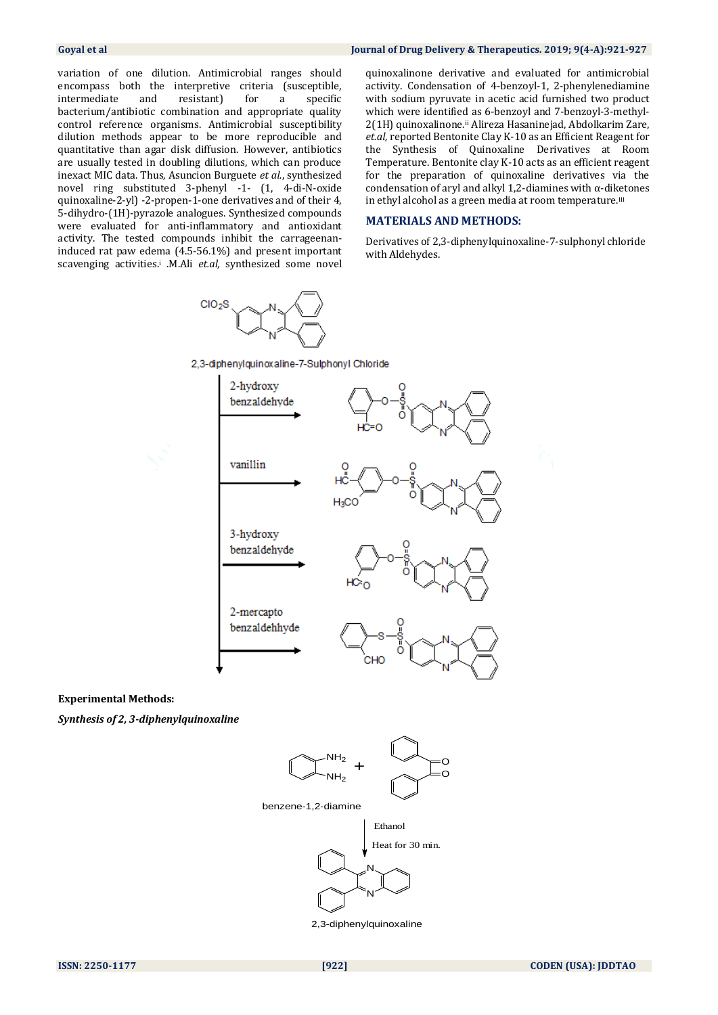#### **Goyal et al Journal of Drug Delivery & Therapeutics. 2019; 9(4-A):921-927**

variation of one dilution. Antimicrobial ranges should encompass both the interpretive criteria (susceptible, intermediate and resistant) for a specific bacterium/antibiotic combination and appropriate quality control reference organisms. Antimicrobial susceptibility dilution methods appear to be more reproducible and quantitative than agar disk diffusion. However, antibiotics are usually tested in doubling dilutions, which can produce inexact MIC data. Thus, Asuncion Burguete *et al.*, synthesized novel ring substituted 3-phenyl -1- (1, 4-di-N-oxide quinoxaline-2-yl) -2-propen-1-one derivatives and of their 4, 5-dihydro-(1H)-pyrazole analogues. Synthesized compounds were evaluated for anti-inflammatory and antioxidant activity. The tested compounds inhibit the carrageenaninduced rat paw edema (4.5-56.1%) and present important scavenging activities.<sup>i</sup> .M.Ali *et.al,* synthesized some novel

 $ClO<sub>2</sub>S$ 

quinoxalinone derivative and evaluated for antimicrobial activity. Condensation of 4-benzoyl-1, 2-phenylenediamine with sodium pyruvate in acetic acid furnished two product which were identified as 6-benzoyl and 7-benzoyl-3-methyl-2(1H) quinoxalinone.ii Alireza Hasaninejad, Abdolkarim Zare, *et.al,* reported Bentonite Clay K-10 as an Efficient Reagent for the Synthesis of Quinoxaline Derivatives at Room Temperature. Bentonite clay K-10 acts as an efficient reagent for the preparation of quinoxaline derivatives via the condensation of aryl and alkyl 1,2-diamines with α-diketones in ethyl alcohol as a green media at room temperature.iii

#### **MATERIALS AND METHODS:**

Derivatives of 2,3-diphenylquinoxaline-7-sulphonyl chloride with Aldehydes.



**Experimental Methods:**

*Synthesis of 2, 3-diphenylquinoxaline*

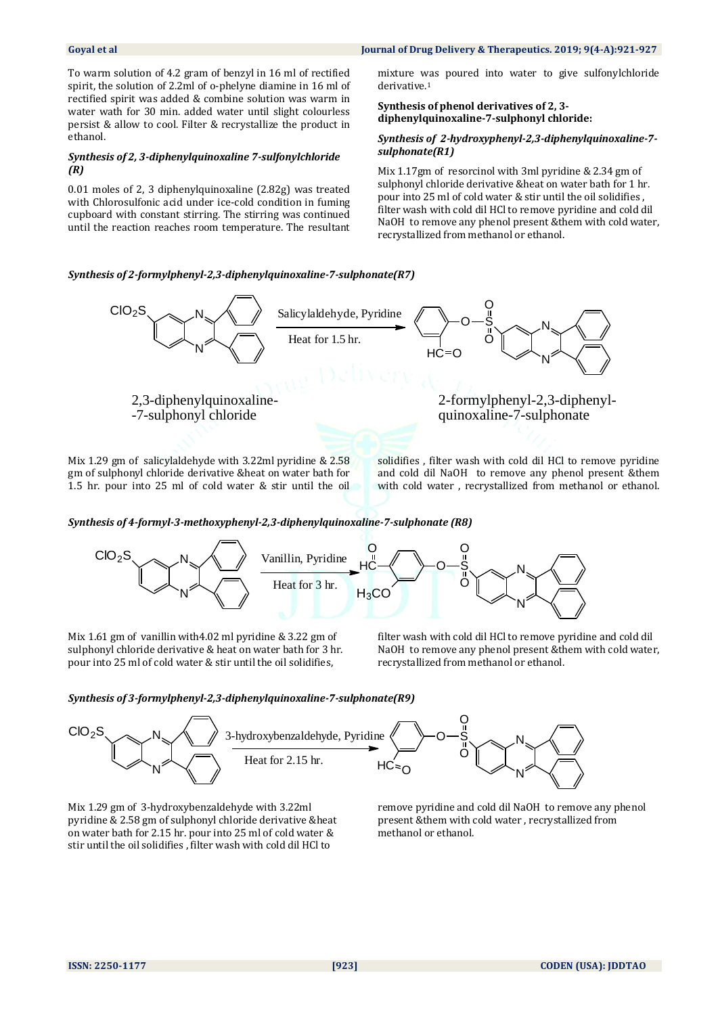#### **Goyal et al Journal of Drug Delivery & Therapeutics. 2019; 9(4-A):921-927**

To warm solution of 4.2 gram of benzyl in 16 ml of rectified spirit, the solution of 2.2ml of o-phelyne diamine in 16 ml of rectified spirit was added & combine solution was warm in water wath for 30 min. added water until slight colourless persist & allow to cool. Filter & recrystallize the product in ethanol.

### *Synthesis of 2, 3-diphenylquinoxaline 7-sulfonylchloride (R)*

0.01 moles of 2, 3 diphenylquinoxaline (2.82g) was treated with Chlorosulfonic acid under ice-cold condition in fuming cupboard with constant stirring. The stirring was continued until the reaction reaches room temperature. The resultant

mixture was poured into water to give sulfonylchloride derivative<sup>1</sup>

#### **Synthesis of phenol derivatives of 2, 3 diphenylquinoxaline-7-sulphonyl chloride:**

#### *Synthesis of 2-hydroxyphenyl-2,3-diphenylquinoxaline-7 sulphonate(R1)*

Mix 1.17gm of resorcinol with 3ml pyridine & 2.34 gm of sulphonyl chloride derivative &heat on water bath for 1 hr. pour into 25 ml of cold water & stir until the oil solidifies , filter wash with cold dil HCl to remove pyridine and cold dil NaOH to remove any phenol present &them with cold water, recrystallized from methanol or ethanol.

#### *Synthesis of 2-formylphenyl-2,3-diphenylquinoxaline-7-sulphonate(R7)*



Mix 1.29 gm of salicylaldehyde with 3.22ml pyridine & 2.58 gm of sulphonyl chloride derivative &heat on water bath for 1.5 hr. pour into 25 ml of cold water & stir until the oil

solidifies , filter wash with cold dil HCl to remove pyridine and cold dil NaOH to remove any phenol present &them with cold water , recrystallized from methanol or ethanol.

#### *Synthesis of 4-formyl-3-methoxyphenyl-2,3-diphenylquinoxaline-7-sulphonate (R8)*



Mix 1.61 gm of vanillin with4.02 ml pyridine & 3.22 gm of sulphonyl chloride derivative & heat on water bath for 3 hr. pour into 25 ml of cold water & stir until the oil solidifies,

filter wash with cold dil HCl to remove pyridine and cold dil NaOH to remove any phenol present &them with cold water, recrystallized from methanol or ethanol.

#### *Synthesis of 3-formylphenyl-2,3-diphenylquinoxaline-7-sulphonate(R9)*



Mix 1.29 gm of 3-hydroxybenzaldehyde with 3.22ml pyridine & 2.58 gm of sulphonyl chloride derivative &heat on water bath for 2.15 hr. pour into 25 ml of cold water & stir until the oil solidifies , filter wash with cold dil HCl to

remove pyridine and cold dil NaOH to remove any phenol present &them with cold water , recrystallized from methanol or ethanol.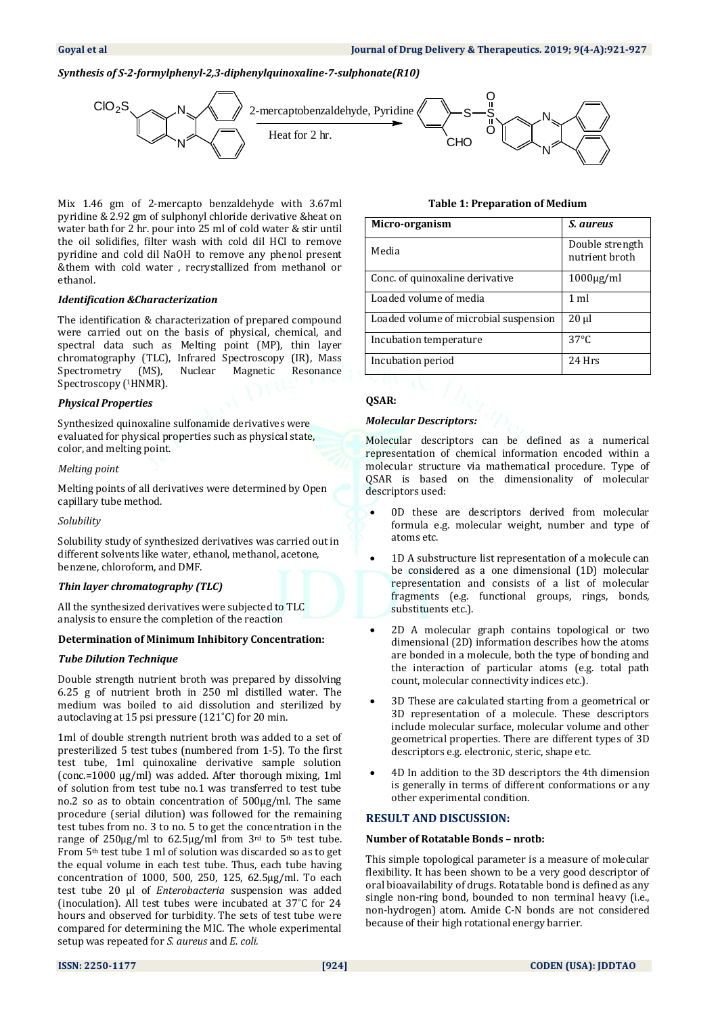#### *Synthesis of S-2-formylphenyl-2,3-diphenylquinoxaline-7-sulphonate(R10)*



Mix 1.46 gm of 2-mercapto benzaldehyde with 3.67ml pyridine & 2.92 gm of sulphonyl chloride derivative &heat on water bath for 2 hr. pour into 25 ml of cold water & stir until the oil solidifies, filter wash with cold dil HCl to remove pyridine and cold dil NaOH to remove any phenol present &them with cold water , recrystallized from methanol or ethanol.

#### *Identification &Characterization*

The identification & characterization of prepared compound were carried out on the basis of physical, chemical, and spectral data such as Melting point (MP), thin layer chromatography (TLC), Infrared Spectroscopy (IR), Mass Spectrometry (MS), Nuclear Magnetic Resonance Spectroscopy (<sup>1</sup>HNMR).

#### *Physical Properties*

Synthesized quinoxaline sulfonamide derivatives were evaluated for physical properties such as physical state, color, and melting point.

#### *Melting point*

Melting points of all derivatives were determined by Open capillary tube method.

*Solubility*

Solubility study of synthesized derivatives was carried out in different solvents like water, ethanol, methanol, acetone, benzene, chloroform, and DMF.

### *Thin layer chromatography (TLC)*

All the synthesized derivatives were subjected to TLC analysis to ensure the completion of the reaction

#### **Determination of Minimum Inhibitory Concentration:**

#### *Tube Dilution Technique*

Double strength nutrient broth was prepared by dissolving 6.25 g of nutrient broth in 250 ml distilled water. The medium was boiled to aid dissolution and sterilized by autoclaving at 15 psi pressure (121˚C) for 20 min.

1ml of double strength nutrient broth was added to a set of presterilized 5 test tubes (numbered from 1-5). To the first test tube, 1ml quinoxaline derivative sample solution (conc.=1000 µg/ml) was added. After thorough mixing, 1ml of solution from test tube no.1 was transferred to test tube no.2 so as to obtain concentration of 500µg/ml. The same procedure (serial dilution) was followed for the remaining test tubes from no. 3 to no. 5 to get the concentration in the range of  $250\mu g/ml$  to  $62.5\mu g/ml$  from  $3<sup>rd</sup>$  to  $5<sup>th</sup>$  test tube. From 5th test tube 1 ml of solution was discarded so as to get the equal volume in each test tube. Thus, each tube having concentration of 1000, 500, 250, 125, 62.5µg/ml. To each test tube 20 µl of *Enterobacteria* suspension was added (inoculation). All test tubes were incubated at 37˚C for 24 hours and observed for turbidity. The sets of test tube were compared for determining the MIC. The whole experimental setup was repeated for *S. aureus* and *E. coli.*

#### **Table 1: Preparation of Medium**

| Micro-organism                        | S. aureus                         |
|---------------------------------------|-----------------------------------|
| Media                                 | Double strength<br>nutrient broth |
| Conc. of quinoxaline derivative       | $1000\mu g/ml$                    |
| Loaded volume of media                | $1$ ml                            |
| Loaded volume of microbial suspension | $20 \mu$                          |
| Incubation temperature                | $37^{\circ}$ C                    |
| Incubation period                     | 24 Hrs                            |

### **QSAR:**

#### *Molecular Descriptors:*

Molecular descriptors can be defined as a numerical representation of chemical information encoded within a molecular structure via mathematical procedure. Type of QSAR is based on the dimensionality of molecular descriptors used:

- 0D these are descriptors derived from molecular formula e.g. molecular weight, number and type of atoms etc.
- 1D A substructure list representation of a molecule can be considered as a one dimensional (1D) molecular representation and consists of a list of molecular fragments (e.g. functional groups, rings, bonds, substituents etc.).
- 2D A molecular graph contains topological or two dimensional (2D) information describes how the atoms are bonded in a molecule, both the type of bonding and the interaction of particular atoms (e.g. total path count, molecular connectivity indices etc.).
- 3D These are calculated starting from a geometrical or 3D representation of a molecule. These descriptors include molecular surface, molecular volume and other geometrical properties. There are different types of 3D descriptors e.g. electronic, steric, shape etc.
- 4D In addition to the 3D descriptors the 4th dimension is generally in terms of different conformations or any other experimental condition.

#### **RESULT AND DISCUSSION:**

#### **Number of Rotatable Bonds – nrotb:**

This simple topological parameter is a measure of molecular flexibility. It has been shown to be a very good descriptor of oral bioavailability of drugs. Rotatable bond is defined as any single non-ring bond, bounded to non terminal heavy (i.e., non-hydrogen) atom. Amide C-N bonds are not considered because of their high rotational energy barrier.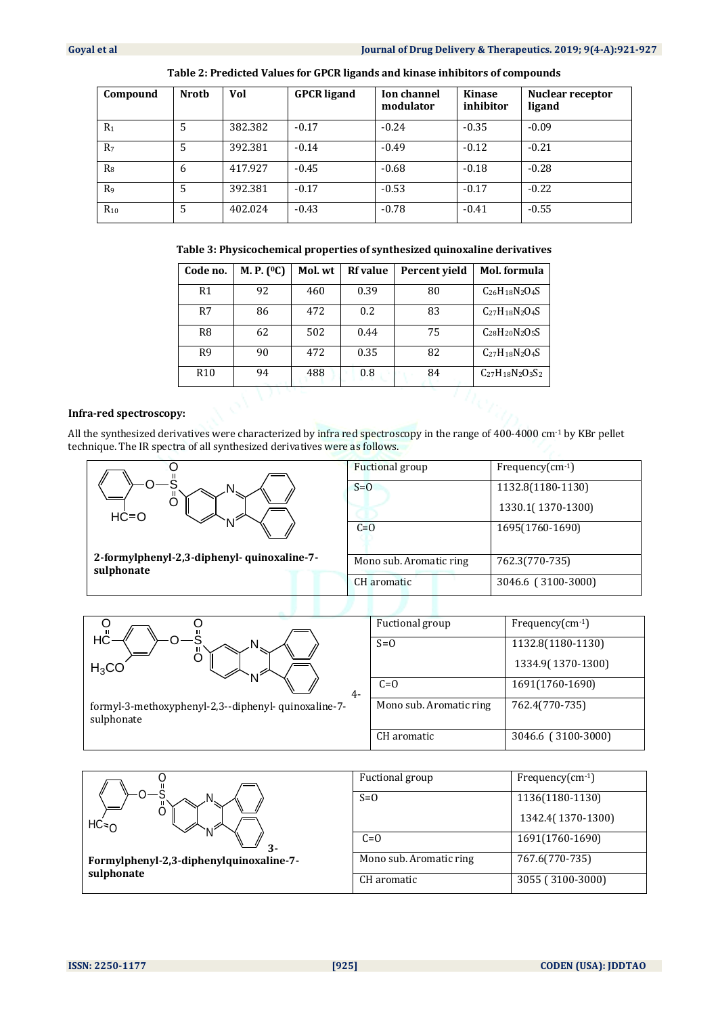| Compound       | <b>Nrotb</b> | Vol     | <b>GPCR</b> ligand | <b>Ion channel</b><br>modulator | Kinase<br>inhibitor | <b>Nuclear receptor</b><br>ligand |
|----------------|--------------|---------|--------------------|---------------------------------|---------------------|-----------------------------------|
| $R_1$          | 5            | 382.382 | $-0.17$            | $-0.24$                         | $-0.35$             | $-0.09$                           |
| R <sub>7</sub> | 5            | 392.381 | $-0.14$            | $-0.49$                         | $-0.12$             | $-0.21$                           |
| $R_8$          | 6            | 417.927 | $-0.45$            | $-0.68$                         | $-0.18$             | $-0.28$                           |
| R <sub>9</sub> | 5            | 392.381 | $-0.17$            | $-0.53$                         | $-0.17$             | $-0.22$                           |
| $R_{10}$       | 5            | 402.024 | $-0.43$            | $-0.78$                         | $-0.41$             | $-0.55$                           |

|  | Table 3: Physicochemical properties of synthesized quinoxaline derivatives |  |
|--|----------------------------------------------------------------------------|--|
|--|----------------------------------------------------------------------------|--|

| Code no.        | M. P. (°C) | Mol. wt | <b>Rf</b> value | Percent vield | Mol. formula                  |
|-----------------|------------|---------|-----------------|---------------|-------------------------------|
| R <sub>1</sub>  | 92         | 460     | 0.39            | 80            | $C_{26}H_{18}N_{2}O_{4}S$     |
| R7              | 86         | 472     | 0.2             | 83            | $C_{27}H_{18}N_{2}O_{4}S$     |
| R8              | 62         | 502     | 0.44            | 75            | $C_{28}H_{20}N_{2}O_{5}S$     |
| R <sub>9</sub>  | 90         | 472     | 0.35            | 82            | $C_{27}H_{18}N_{2}O_{4}S$     |
| R <sub>10</sub> | 94         | 488     | 0.8             | 84            | $C_{27}H_{18}N_{2}O_{3}S_{2}$ |
|                 |            |         |                 |               |                               |

#### **Infra-red spectroscopy:**

All the synthesized derivatives were characterized by infra red spectroscopy in the range of 400-4000 cm-1 by KBr pellet technique. The IR spectra of all synthesized derivatives were as follows.

|                                                           | <b>Fuctional</b> group  | Frequency $(cm-1)$ |
|-----------------------------------------------------------|-------------------------|--------------------|
| $HC = O$                                                  | $S=0$                   | 1132.8(1180-1130)  |
|                                                           |                         | 1330.1(1370-1300)  |
|                                                           | $C=0$                   | 1695(1760-1690)    |
| 2-formylphenyl-2,3-diphenyl- quinoxaline-7-<br>sulphonate | Mono sub. Aromatic ring | 762.3(770-735)     |
|                                                           | CH aromatic             | 3046.6 (3100-3000) |

| O<br>UHC                                                           | Fuctional group         | Frequency $(cm-1)$ |
|--------------------------------------------------------------------|-------------------------|--------------------|
|                                                                    | $S=0$                   | 1132.8(1180-1130)  |
| $H_3CO$                                                            |                         | 1334.9(1370-1300)  |
| $4-$                                                               | $C=0$                   | 1691(1760-1690)    |
| formyl-3-methoxyphenyl-2,3--diphenyl- quinoxaline-7-<br>sulphonate | Mono sub. Aromatic ring | 762.4(770-735)     |
|                                                                    | CH aromatic             | 3046.6 (3100-3000) |

|                                                       | Fuctional group         | Frequency $(cm-1)$ |
|-------------------------------------------------------|-------------------------|--------------------|
| N<br>$HC = 0$<br>$3 -$                                | $S=0$                   | 1136(1180-1130)    |
|                                                       |                         | 1342.4(1370-1300)  |
|                                                       | $C=0$                   | 1691(1760-1690)    |
| Formylphenyl-2,3-diphenylquinoxaline-7-<br>sulphonate | Mono sub. Aromatic ring | 767.6(770-735)     |
|                                                       | CH aromatic             | 3055 (3100-3000)   |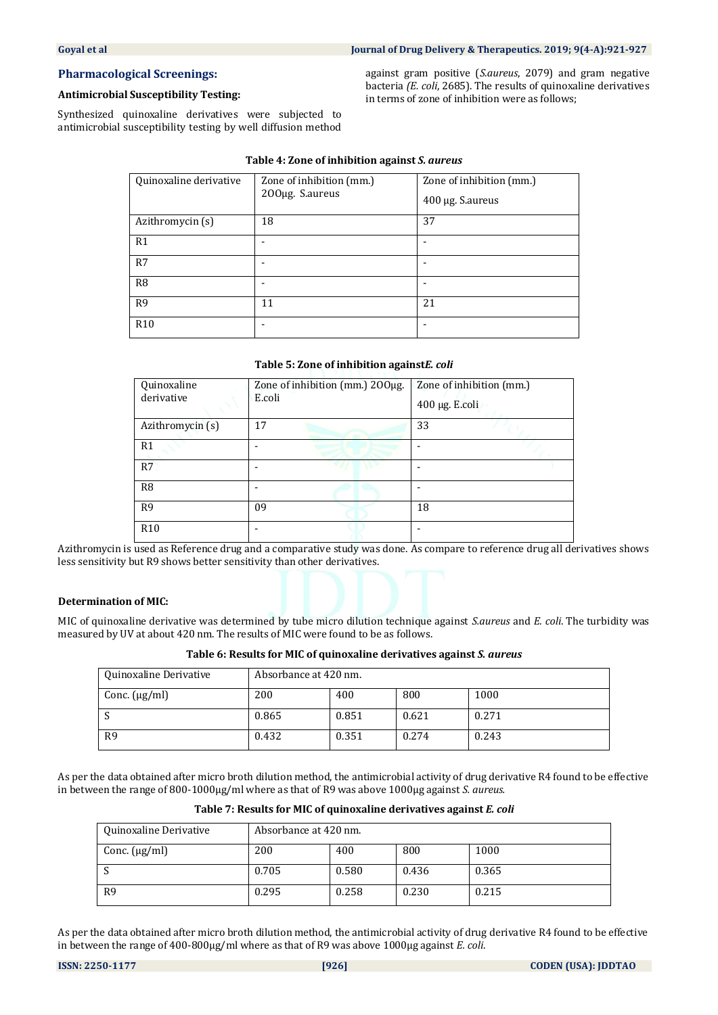### **Pharmacological Screenings:**

#### **Antimicrobial Susceptibility Testing:**

Synthesized quinoxaline derivatives were subjected to antimicrobial susceptibility testing by well diffusion method

against gram positive (*S.aureus*, 2079) and gram negative bacteria *(E. coli*, 2685). The results of quinoxaline derivatives in terms of zone of inhibition were as follows;

#### **Table 4: Zone of inhibition against** *S. aureus*

| Quinoxaline derivative | Zone of inhibition (mm.)<br>200µg. S.aureus | Zone of inhibition (mm.)<br>400 µg. S.aureus |
|------------------------|---------------------------------------------|----------------------------------------------|
| Azithromycin (s)       | 18                                          | 37                                           |
| R1                     |                                             |                                              |
| R7                     |                                             |                                              |
| R <sub>8</sub>         |                                             |                                              |
| R <sub>9</sub>         | 11                                          | 21                                           |
| R <sub>10</sub>        |                                             |                                              |

#### **Table 5: Zone of inhibition against***E. coli*

| Quinoxaline<br>derivative | Zone of inhibition (mm.) 200µg.<br>E.coli | Zone of inhibition (mm.)<br>$400 \mu g$ . E.coli |
|---------------------------|-------------------------------------------|--------------------------------------------------|
| Azithromycin (s)          | 17                                        | 33                                               |
| R <sub>1</sub>            |                                           |                                                  |
| R7                        |                                           |                                                  |
| R <sub>8</sub>            |                                           |                                                  |
| R <sub>9</sub>            | 09                                        | 18                                               |
| R <sub>10</sub>           |                                           |                                                  |

Azithromycin is used as Reference drug and a comparative study was done. As compare to reference drug all derivatives shows less sensitivity but R9 shows better sensitivity than other derivatives.

#### **Determination of MIC:**

MIC of quinoxaline derivative was determined by tube micro dilution technique against *S.aureus* and *E. coli*. The turbidity was measured by UV at about 420 nm. The results of MIC were found to be as follows.

**Table 6: Results for MIC of quinoxaline derivatives against** *S. aureus*

| Quinoxaline Derivative | Absorbance at 420 nm. |       |       |       |
|------------------------|-----------------------|-------|-------|-------|
| Conc. $(\mu g/ml)$     | 200                   | 400   | 800   | 1000  |
| - 1                    | 0.865                 | 0.851 | 0.621 | 0.271 |
| R <sub>9</sub>         | 0.432                 | 0.351 | 0.274 | 0.243 |

As per the data obtained after micro broth dilution method, the antimicrobial activity of drug derivative R4 found to be effective in between the range of 800-1000µg/ml where as that of R9 was above 1000µg against *S. aureus.*

**Table 7: Results for MIC of quinoxaline derivatives against** *E. coli*

| Quinoxaline Derivative | Absorbance at 420 nm. |       |       |       |
|------------------------|-----------------------|-------|-------|-------|
| Conc. $(\mu g/ml)$     | 200                   | 400   | 800   | 1000  |
|                        | 0.705                 | 0.580 | 0.436 | 0.365 |
| R <sub>9</sub>         | 0.295                 | 0.258 | 0.230 | 0.215 |

As per the data obtained after micro broth dilution method, the antimicrobial activity of drug derivative R4 found to be effective in between the range of 400-800µg/ml where as that of R9 was above 1000µg against *E. coli*.